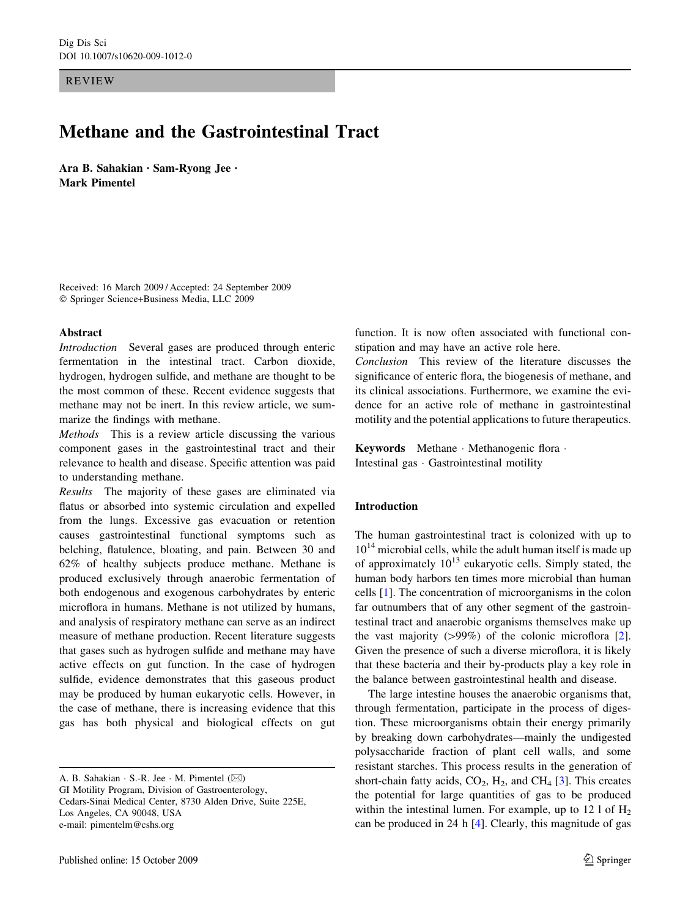REVIEW

# Methane and the Gastrointestinal Tract

Ara B. Sahakian • Sam-Ryong Jee • Mark Pimentel

Received: 16 March 2009 / Accepted: 24 September 2009 Springer Science+Business Media, LLC 2009

## Abstract

Introduction Several gases are produced through enteric fermentation in the intestinal tract. Carbon dioxide, hydrogen, hydrogen sulfide, and methane are thought to be the most common of these. Recent evidence suggests that methane may not be inert. In this review article, we summarize the findings with methane.

Methods This is a review article discussing the various component gases in the gastrointestinal tract and their relevance to health and disease. Specific attention was paid to understanding methane.

Results The majority of these gases are eliminated via flatus or absorbed into systemic circulation and expelled from the lungs. Excessive gas evacuation or retention causes gastrointestinal functional symptoms such as belching, flatulence, bloating, and pain. Between 30 and 62% of healthy subjects produce methane. Methane is produced exclusively through anaerobic fermentation of both endogenous and exogenous carbohydrates by enteric microflora in humans. Methane is not utilized by humans, and analysis of respiratory methane can serve as an indirect measure of methane production. Recent literature suggests that gases such as hydrogen sulfide and methane may have active effects on gut function. In the case of hydrogen sulfide, evidence demonstrates that this gaseous product may be produced by human eukaryotic cells. However, in the case of methane, there is increasing evidence that this gas has both physical and biological effects on gut

A. B. Sahakian  $\cdot$  S.-R. Jee  $\cdot$  M. Pimentel ( $\boxtimes$ ) GI Motility Program, Division of Gastroenterology, Cedars-Sinai Medical Center, 8730 Alden Drive, Suite 225E, Los Angeles, CA 90048, USA e-mail: pimentelm@cshs.org

function. It is now often associated with functional constipation and may have an active role here.

Conclusion This review of the literature discusses the significance of enteric flora, the biogenesis of methane, and its clinical associations. Furthermore, we examine the evidence for an active role of methane in gastrointestinal motility and the potential applications to future therapeutics.

Keywords Methane · Methanogenic flora · Intestinal gas · Gastrointestinal motility

## Introduction

The human gastrointestinal tract is colonized with up to  $10^{14}$  microbial cells, while the adult human itself is made up of approximately  $10^{13}$  eukaryotic cells. Simply stated, the human body harbors ten times more microbial than human cells [\[1](#page-7-0)]. The concentration of microorganisms in the colon far outnumbers that of any other segment of the gastrointestinal tract and anaerobic organisms themselves make up the vast majority  $(>99\%)$  of the colonic microflora [\[2](#page-7-0)]. Given the presence of such a diverse microflora, it is likely that these bacteria and their by-products play a key role in the balance between gastrointestinal health and disease.

The large intestine houses the anaerobic organisms that, through fermentation, participate in the process of digestion. These microorganisms obtain their energy primarily by breaking down carbohydrates—mainly the undigested polysaccharide fraction of plant cell walls, and some resistant starches. This process results in the generation of short-chain fatty acids,  $CO_2$ ,  $H_2$ , and  $CH_4$  [[3\]](#page-7-0). This creates the potential for large quantities of gas to be produced within the intestinal lumen. For example, up to  $12 \cdot 1$  of  $H_2$ can be produced in 24 h [[4\]](#page-7-0). Clearly, this magnitude of gas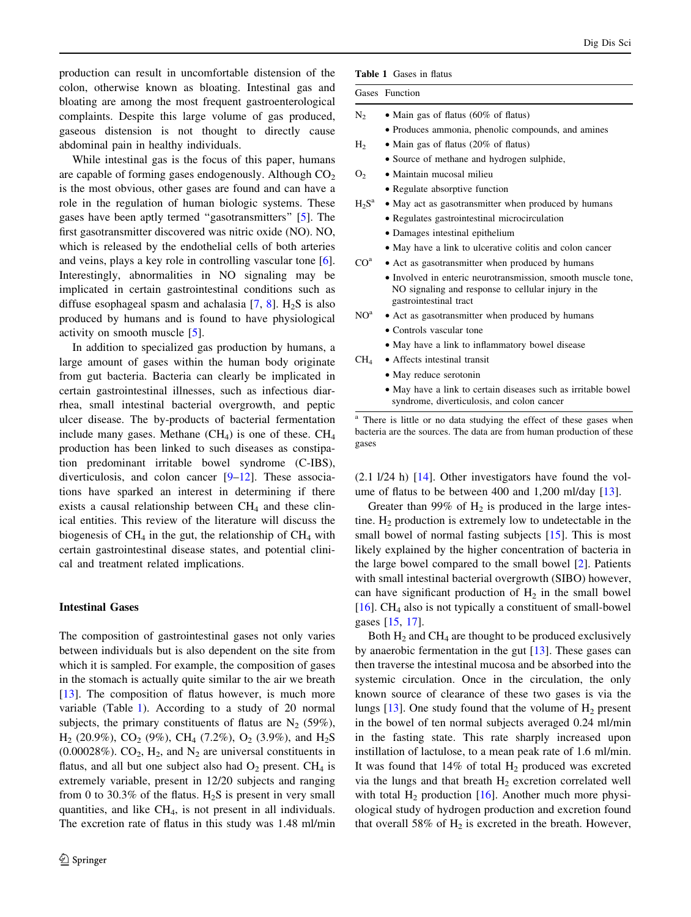production can result in uncomfortable distension of the colon, otherwise known as bloating. Intestinal gas and bloating are among the most frequent gastroenterological complaints. Despite this large volume of gas produced, gaseous distension is not thought to directly cause abdominal pain in healthy individuals.

While intestinal gas is the focus of this paper, humans are capable of forming gases endogenously. Although  $CO<sub>2</sub>$ is the most obvious, other gases are found and can have a role in the regulation of human biologic systems. These gases have been aptly termed ''gasotransmitters'' [\[5](#page-7-0)]. The first gasotransmitter discovered was nitric oxide (NO). NO, which is released by the endothelial cells of both arteries and veins, plays a key role in controlling vascular tone [\[6](#page-7-0)]. Interestingly, abnormalities in NO signaling may be implicated in certain gastrointestinal conditions such as diffuse esophageal spasm and achalasia  $[7, 8]$  $[7, 8]$  $[7, 8]$  $[7, 8]$ . H<sub>2</sub>S is also produced by humans and is found to have physiological activity on smooth muscle [[5\]](#page-7-0).

In addition to specialized gas production by humans, a large amount of gases within the human body originate from gut bacteria. Bacteria can clearly be implicated in certain gastrointestinal illnesses, such as infectious diarrhea, small intestinal bacterial overgrowth, and peptic ulcer disease. The by-products of bacterial fermentation include many gases. Methane  $(CH<sub>4</sub>)$  is one of these.  $CH<sub>4</sub>$ production has been linked to such diseases as constipation predominant irritable bowel syndrome (C-IBS), diverticulosis, and colon cancer [\[9–12\]](#page-7-0). These associations have sparked an interest in determining if there exists a causal relationship between  $CH<sub>4</sub>$  and these clinical entities. This review of the literature will discuss the biogenesis of  $CH_4$  in the gut, the relationship of  $CH_4$  with certain gastrointestinal disease states, and potential clinical and treatment related implications.

## Intestinal Gases

The composition of gastrointestinal gases not only varies between individuals but is also dependent on the site from which it is sampled. For example, the composition of gases in the stomach is actually quite similar to the air we breath [\[13](#page-7-0)]. The composition of flatus however, is much more variable (Table 1). According to a study of 20 normal subjects, the primary constituents of flatus are  $N_2$  (59%),  $H_2$  (20.9%),  $CO_2$  (9%),  $CH_4$  (7.2%),  $O_2$  (3.9%), and  $H_2S$  $(0.00028\%)$ . CO<sub>2</sub>, H<sub>2</sub>, and N<sub>2</sub> are universal constituents in flatus, and all but one subject also had  $O_2$  present. CH<sub>4</sub> is extremely variable, present in 12/20 subjects and ranging from 0 to 30.3% of the flatus.  $H_2S$  is present in very small quantities, and like  $CH<sub>4</sub>$ , is not present in all individuals. The excretion rate of flatus in this study was 1.48 ml/min

| <b>Table 1</b> Gases in flatus |  |  |
|--------------------------------|--|--|
|--------------------------------|--|--|

| N2       | • Main gas of flatus $(60\% \text{ of } \text{flatus})$ |
|----------|---------------------------------------------------------|
|          | • Produces ammonia, phenolic compounds, and amines      |
| H2       | • Main gas of flatus (20% of flatus)                    |
|          | • Source of methane and hydrogen sulphide,              |
| О,       | • Maintain mucosal milieu                               |
|          | • Regulate absorptive function                          |
| $H_2S^a$ | • May act as gasotransmitter when produced by humans    |
|          | • Regulates gastrointestinal microcirculation           |
|          | • Demages intesting opitholium                          |

- Damages intestinal epithelium
- May have a link to ulcerative colitis and colon cancer
- $CO<sup>a</sup>$  Act as gasotransmitter when produced by humans
	- Involved in enteric neurotransmission, smooth muscle tone, NO signaling and response to cellular injury in the gastrointestinal tract
- $NO<sup>a</sup>$  Act as gasotransmitter when produced by humans
	- Controls vascular tone
	- May have a link to inflammatory bowel disease
- $CH<sub>4</sub>$  Affects intestinal transit
	- May reduce serotonin
	- May have a link to certain diseases such as irritable bowel syndrome, diverticulosis, and colon cancer

<sup>a</sup> There is little or no data studying the effect of these gases when bacteria are the sources. The data are from human production of these gases

(2.1 l/24 h) [[14\]](#page-7-0). Other investigators have found the volume of flatus to be between 400 and 1,200 ml/day [\[13](#page-7-0)].

Greater than 99% of  $H_2$  is produced in the large intestine.  $H<sub>2</sub>$  production is extremely low to undetectable in the small bowel of normal fasting subjects [[15\]](#page-7-0). This is most likely explained by the higher concentration of bacteria in the large bowel compared to the small bowel [\[2](#page-7-0)]. Patients with small intestinal bacterial overgrowth (SIBO) however, can have significant production of  $H_2$  in the small bowel [\[16](#page-7-0)]. CH<sub>4</sub> also is not typically a constituent of small-bowel gases [\[15](#page-7-0), [17](#page-7-0)].

Both  $H_2$  and CH<sub>4</sub> are thought to be produced exclusively by anaerobic fermentation in the gut [\[13](#page-7-0)]. These gases can then traverse the intestinal mucosa and be absorbed into the systemic circulation. Once in the circulation, the only known source of clearance of these two gases is via the lungs  $[13]$  $[13]$ . One study found that the volume of  $H_2$  present in the bowel of ten normal subjects averaged 0.24 ml/min in the fasting state. This rate sharply increased upon instillation of lactulose, to a mean peak rate of 1.6 ml/min. It was found that  $14\%$  of total  $H_2$  produced was excreted via the lungs and that breath H<sub>2</sub> excretion correlated well with total  $H_2$  production [[16\]](#page-7-0). Another much more physiological study of hydrogen production and excretion found that overall 58% of  $H_2$  is excreted in the breath. However,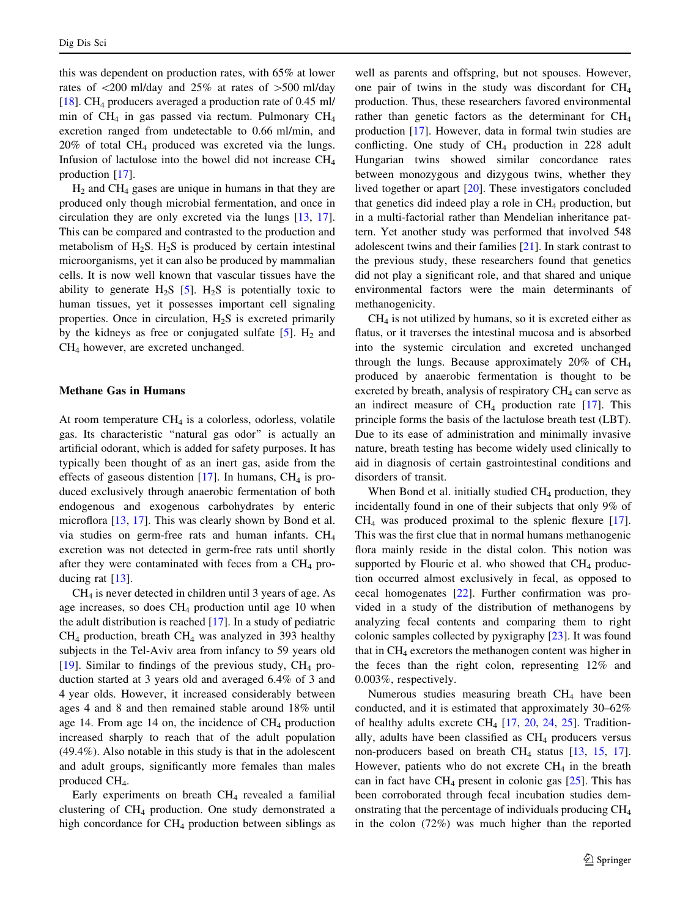this was dependent on production rates, with 65% at lower rates of  $\langle 200 \text{ m} \rangle$  and  $25\%$  at rates of  $>500 \text{ m}$ /day [\[18](#page-7-0)]. CH<sub>4</sub> producers averaged a production rate of 0.45 ml/ min of  $CH_4$  in gas passed via rectum. Pulmonary  $CH_4$ excretion ranged from undetectable to 0.66 ml/min, and 20% of total CH4 produced was excreted via the lungs. Infusion of lactulose into the bowel did not increase  $CH<sub>4</sub>$ production [[17](#page-7-0)].

 $H<sub>2</sub>$  and CH<sub>4</sub> gases are unique in humans in that they are produced only though microbial fermentation, and once in circulation they are only excreted via the lungs [[13,](#page-7-0) [17](#page-7-0)]. This can be compared and contrasted to the production and metabolism of  $H_2S$ .  $H_2S$  is produced by certain intestinal microorganisms, yet it can also be produced by mammalian cells. It is now well known that vascular tissues have the ability to generate  $H_2S$  [[5\]](#page-7-0).  $H_2S$  is potentially toxic to human tissues, yet it possesses important cell signaling properties. Once in circulation,  $H_2S$  is excreted primarily by the kidneys as free or conjugated sulfate  $[5]$ . H<sub>2</sub> and CH4 however, are excreted unchanged.

## Methane Gas in Humans

At room temperature  $CH<sub>4</sub>$  is a colorless, odorless, volatile gas. Its characteristic ''natural gas odor'' is actually an artificial odorant, which is added for safety purposes. It has typically been thought of as an inert gas, aside from the effects of gaseous distention  $[17]$  $[17]$ . In humans, CH<sub>4</sub> is produced exclusively through anaerobic fermentation of both endogenous and exogenous carbohydrates by enteric microflora [\[13,](#page-7-0) [17](#page-7-0)]. This was clearly shown by Bond et al. via studies on germ-free rats and human infants.  $CH<sub>4</sub>$ excretion was not detected in germ-free rats until shortly after they were contaminated with feces from a  $CH<sub>4</sub>$  producing rat [[13\]](#page-7-0).

CH4 is never detected in children until 3 years of age. As age increases, so does  $CH_4$  production until age 10 when the adult distribution is reached [\[17](#page-7-0)]. In a study of pediatric  $CH<sub>4</sub>$  production, breath CH<sub>4</sub> was analyzed in 393 healthy subjects in the Tel-Aviv area from infancy to 59 years old [\[19](#page-7-0)]. Similar to findings of the previous study,  $CH_4$  production started at 3 years old and averaged 6.4% of 3 and 4 year olds. However, it increased considerably between ages 4 and 8 and then remained stable around 18% until age 14. From age 14 on, the incidence of  $CH<sub>4</sub>$  production increased sharply to reach that of the adult population (49.4%). Also notable in this study is that in the adolescent and adult groups, significantly more females than males produced CH4.

Early experiments on breath  $CH<sub>4</sub>$  revealed a familial clustering of  $CH<sub>4</sub>$  production. One study demonstrated a high concordance for  $CH_4$  production between siblings as

well as parents and offspring, but not spouses. However, one pair of twins in the study was discordant for CH4 production. Thus, these researchers favored environmental rather than genetic factors as the determinant for  $CH<sub>4</sub>$ production [\[17](#page-7-0)]. However, data in formal twin studies are conflicting. One study of  $CH<sub>4</sub>$  production in 228 adult Hungarian twins showed similar concordance rates between monozygous and dizygous twins, whether they lived together or apart [\[20](#page-7-0)]. These investigators concluded that genetics did indeed play a role in  $CH<sub>4</sub>$  production, but in a multi-factorial rather than Mendelian inheritance pattern. Yet another study was performed that involved 548 adolescent twins and their families [\[21](#page-7-0)]. In stark contrast to the previous study, these researchers found that genetics did not play a significant role, and that shared and unique environmental factors were the main determinants of methanogenicity.

 $CH<sub>4</sub>$  is not utilized by humans, so it is excreted either as flatus, or it traverses the intestinal mucosa and is absorbed into the systemic circulation and excreted unchanged through the lungs. Because approximately  $20\%$  of CH<sub>4</sub> produced by anaerobic fermentation is thought to be excreted by breath, analysis of respiratory  $CH<sub>4</sub>$  can serve as an indirect measure of  $CH_4$  production rate [\[17](#page-7-0)]. This principle forms the basis of the lactulose breath test (LBT). Due to its ease of administration and minimally invasive nature, breath testing has become widely used clinically to aid in diagnosis of certain gastrointestinal conditions and disorders of transit.

When Bond et al. initially studied  $CH<sub>4</sub>$  production, they incidentally found in one of their subjects that only 9% of  $CH<sub>4</sub>$  was produced proximal to the splenic flexure [\[17](#page-7-0)]. This was the first clue that in normal humans methanogenic flora mainly reside in the distal colon. This notion was supported by Flourie et al. who showed that  $CH<sub>4</sub>$  production occurred almost exclusively in fecal, as opposed to cecal homogenates [[22\]](#page-7-0). Further confirmation was provided in a study of the distribution of methanogens by analyzing fecal contents and comparing them to right colonic samples collected by pyxigraphy [[23\]](#page-7-0). It was found that in  $CH<sub>4</sub>$  excretors the methanogen content was higher in the feces than the right colon, representing 12% and 0.003%, respectively.

Numerous studies measuring breath CH<sub>4</sub> have been conducted, and it is estimated that approximately 30–62% of healthy adults excrete  $CH_4$  [[17,](#page-7-0) [20,](#page-7-0) [24](#page-7-0), [25](#page-7-0)]. Traditionally, adults have been classified as  $CH<sub>4</sub>$  producers versus non-producers based on breath CH<sub>4</sub> status  $[13, 15, 17]$  $[13, 15, 17]$  $[13, 15, 17]$  $[13, 15, 17]$  $[13, 15, 17]$  $[13, 15, 17]$  $[13, 15, 17]$ . However, patients who do not excrete  $CH<sub>4</sub>$  in the breath can in fact have  $CH_4$  present in colonic gas  $[25]$  $[25]$ . This has been corroborated through fecal incubation studies demonstrating that the percentage of individuals producing CH4 in the colon (72%) was much higher than the reported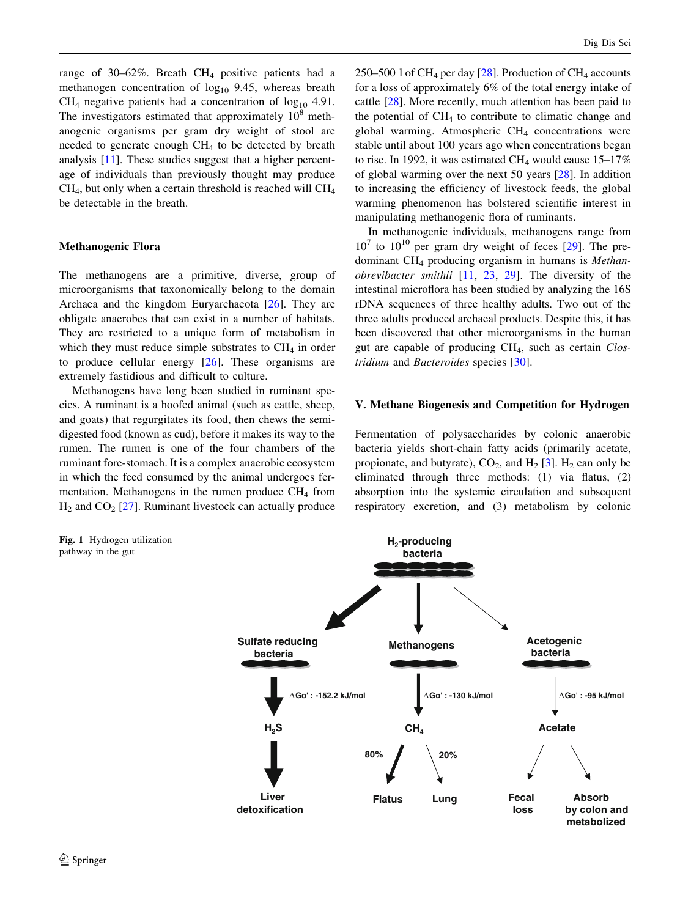<span id="page-3-0"></span>range of  $30-62\%$ . Breath CH<sub>4</sub> positive patients had a methanogen concentration of  $log_{10}$  9.45, whereas breath  $CH<sub>4</sub>$  negative patients had a concentration of  $log<sub>10</sub> 4.91$ . The investigators estimated that approximately  $10^8$  methanogenic organisms per gram dry weight of stool are needed to generate enough CH<sub>4</sub> to be detected by breath analysis [[11\]](#page-7-0). These studies suggest that a higher percentage of individuals than previously thought may produce  $CH<sub>4</sub>$ , but only when a certain threshold is reached will  $CH<sub>4</sub>$ be detectable in the breath.

# Methanogenic Flora

The methanogens are a primitive, diverse, group of microorganisms that taxonomically belong to the domain Archaea and the kingdom Euryarchaeota [\[26](#page-7-0)]. They are obligate anaerobes that can exist in a number of habitats. They are restricted to a unique form of metabolism in which they must reduce simple substrates to  $CH<sub>4</sub>$  in order to produce cellular energy [\[26](#page-7-0)]. These organisms are extremely fastidious and difficult to culture.

Methanogens have long been studied in ruminant species. A ruminant is a hoofed animal (such as cattle, sheep, and goats) that regurgitates its food, then chews the semidigested food (known as cud), before it makes its way to the rumen. The rumen is one of the four chambers of the ruminant fore-stomach. It is a complex anaerobic ecosystem in which the feed consumed by the animal undergoes fermentation. Methanogens in the rumen produce  $CH<sub>4</sub>$  from  $H_2$  and  $CO_2$  [[27\]](#page-7-0). Ruminant livestock can actually produce

Fig. 1 Hydrogen utilization pathway in the gut

250–500 l of CH<sub>4</sub> per day  $[28]$  $[28]$ . Production of CH<sub>4</sub> accounts for a loss of approximately 6% of the total energy intake of cattle [\[28](#page-7-0)]. More recently, much attention has been paid to the potential of  $CH<sub>4</sub>$  to contribute to climatic change and global warming. Atmospheric  $CH<sub>4</sub>$  concentrations were stable until about 100 years ago when concentrations began to rise. In 1992, it was estimated CH<sub>4</sub> would cause  $15-17\%$ of global warming over the next 50 years [\[28](#page-7-0)]. In addition to increasing the efficiency of livestock feeds, the global warming phenomenon has bolstered scientific interest in manipulating methanogenic flora of ruminants.

In methanogenic individuals, methanogens range from  $10^7$  to  $10^{10}$  per gram dry weight of feces [\[29](#page-7-0)]. The predominant  $CH_4$  producing organism in humans is *Methan*obrevibacter smithii [[11,](#page-7-0) [23,](#page-7-0) [29\]](#page-7-0). The diversity of the intestinal microflora has been studied by analyzing the 16S rDNA sequences of three healthy adults. Two out of the three adults produced archaeal products. Despite this, it has been discovered that other microorganisms in the human gut are capable of producing CH4, such as certain Clostridium and *Bacteroides* species [\[30](#page-7-0)].

#### V. Methane Biogenesis and Competition for Hydrogen

Fermentation of polysaccharides by colonic anaerobic bacteria yields short-chain fatty acids (primarily acetate, propionate, and butyrate),  $CO_2$ , and  $H_2$  [\[3](#page-7-0)].  $H_2$  can only be eliminated through three methods: (1) via flatus, (2) absorption into the systemic circulation and subsequent respiratory excretion, and (3) metabolism by colonic

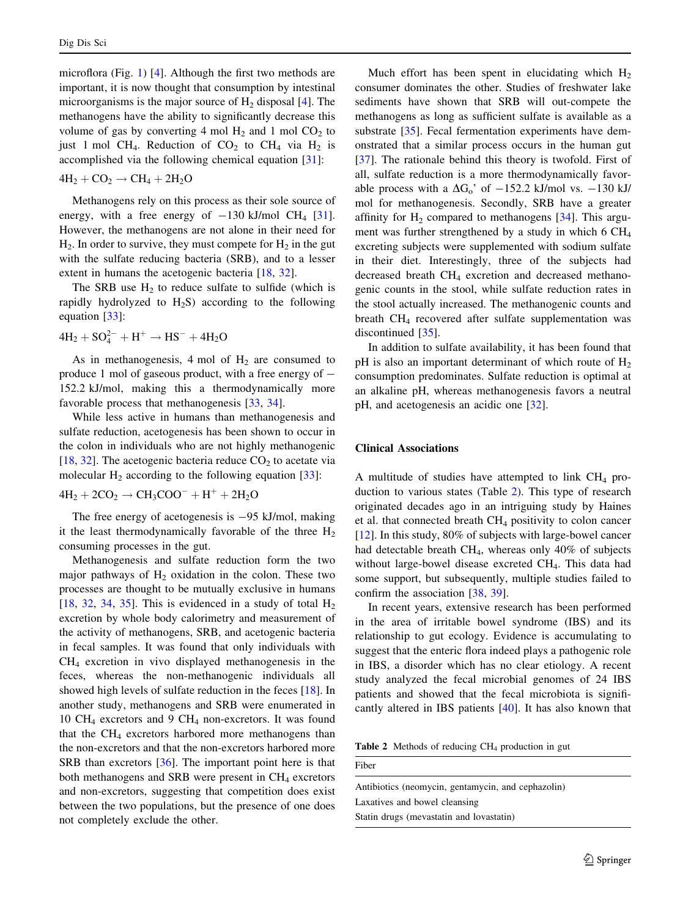microflora (Fig. [1](#page-3-0)) [[4\]](#page-7-0). Although the first two methods are important, it is now thought that consumption by intestinal microorganisms is the major source of  $H_2$  disposal [\[4](#page-7-0)]. The methanogens have the ability to significantly decrease this volume of gas by converting 4 mol  $H_2$  and 1 mol  $CO_2$  to just 1 mol CH<sub>4</sub>. Reduction of CO<sub>2</sub> to CH<sub>4</sub> via H<sub>2</sub> is accomplished via the following chemical equation [[31\]](#page-7-0):

$$
4H_2 + CO_2 \rightarrow CH_4 + 2H_2O
$$

Methanogens rely on this process as their sole source of energy, with a free energy of  $-130$  kJ/mol CH<sub>4</sub> [\[31](#page-7-0)]. However, the methanogens are not alone in their need for  $H_2$ . In order to survive, they must compete for  $H_2$  in the gut with the sulfate reducing bacteria (SRB), and to a lesser extent in humans the acetogenic bacteria [[18,](#page-7-0) [32\]](#page-7-0).

The SRB use  $H_2$  to reduce sulfate to sulfide (which is rapidly hydrolyzed to  $H_2S$ ) according to the following equation [\[33](#page-7-0)]:

$$
4H_2 + SO_4^{2-} + H^+ \rightarrow HS^- + 4H_2O
$$

As in methanogenesis, 4 mol of  $H_2$  are consumed to produce 1 mol of gaseous product, with a free energy of  $-$ 152.2 kJ/mol, making this a thermodynamically more favorable process that methanogenesis [\[33](#page-7-0), [34](#page-7-0)].

While less active in humans than methanogenesis and sulfate reduction, acetogenesis has been shown to occur in the colon in individuals who are not highly methanogenic [\[18](#page-7-0), [32](#page-7-0)]. The acetogenic bacteria reduce  $CO<sub>2</sub>$  to acetate via molecular  $H_2$  according to the following equation [[33\]](#page-7-0):

$$
4H_2 + 2CO_2 \rightarrow CH_3COO^- + H^+ + 2H_2O
$$

The free energy of acetogenesis is  $-95$  kJ/mol, making it the least thermodynamically favorable of the three  $H_2$ consuming processes in the gut.

Methanogenesis and sulfate reduction form the two major pathways of  $H_2$  oxidation in the colon. These two processes are thought to be mutually exclusive in humans  $[18, 32, 34, 35]$  $[18, 32, 34, 35]$  $[18, 32, 34, 35]$  $[18, 32, 34, 35]$  $[18, 32, 34, 35]$  $[18, 32, 34, 35]$  $[18, 32, 34, 35]$  $[18, 32, 34, 35]$ . This is evidenced in a study of total  $H_2$ excretion by whole body calorimetry and measurement of the activity of methanogens, SRB, and acetogenic bacteria in fecal samples. It was found that only individuals with CH4 excretion in vivo displayed methanogenesis in the feces, whereas the non-methanogenic individuals all showed high levels of sulfate reduction in the feces [\[18](#page-7-0)]. In another study, methanogens and SRB were enumerated in 10 CH4 excretors and 9 CH4 non-excretors. It was found that the CH<sub>4</sub> excretors harbored more methanogens than the non-excretors and that the non-excretors harbored more SRB than excretors [[36\]](#page-7-0). The important point here is that both methanogens and SRB were present in  $CH<sub>4</sub>$  excretors and non-excretors, suggesting that competition does exist between the two populations, but the presence of one does not completely exclude the other.

Much effort has been spent in elucidating which  $H_2$ consumer dominates the other. Studies of freshwater lake sediments have shown that SRB will out-compete the methanogens as long as sufficient sulfate is available as a substrate [[35\]](#page-7-0). Fecal fermentation experiments have demonstrated that a similar process occurs in the human gut [\[37](#page-7-0)]. The rationale behind this theory is twofold. First of all, sulfate reduction is a more thermodynamically favorable process with a  $\Delta G_o$ ' of  $-152.2$  kJ/mol vs.  $-130$  kJ/ mol for methanogenesis. Secondly, SRB have a greater affinity for  $H_2$  compared to methanogens [\[34](#page-7-0)]. This argument was further strengthened by a study in which 6 CH<sub>4</sub> excreting subjects were supplemented with sodium sulfate in their diet. Interestingly, three of the subjects had decreased breath CH4 excretion and decreased methanogenic counts in the stool, while sulfate reduction rates in the stool actually increased. The methanogenic counts and breath  $CH<sub>4</sub>$  recovered after sulfate supplementation was discontinued [[35\]](#page-7-0).

In addition to sulfate availability, it has been found that pH is also an important determinant of which route of  $H_2$ consumption predominates. Sulfate reduction is optimal at an alkaline pH, whereas methanogenesis favors a neutral pH, and acetogenesis an acidic one [\[32](#page-7-0)].

# Clinical Associations

A multitude of studies have attempted to link  $CH_4$  production to various states (Table 2). This type of research originated decades ago in an intriguing study by Haines et al. that connected breath  $CH<sub>4</sub>$  positivity to colon cancer [\[12](#page-7-0)]. In this study, 80% of subjects with large-bowel cancer had detectable breath CH4, whereas only 40% of subjects without large-bowel disease excreted CH<sub>4</sub>. This data had some support, but subsequently, multiple studies failed to confirm the association [\[38](#page-7-0), [39](#page-7-0)].

In recent years, extensive research has been performed in the area of irritable bowel syndrome (IBS) and its relationship to gut ecology. Evidence is accumulating to suggest that the enteric flora indeed plays a pathogenic role in IBS, a disorder which has no clear etiology. A recent study analyzed the fecal microbial genomes of 24 IBS patients and showed that the fecal microbiota is significantly altered in IBS patients [\[40](#page-7-0)]. It has also known that

Table 2 Methods of reducing  $CH<sub>4</sub>$  production in gut

Fiber

| Antibiotics (neomycin, gentamycin, and cephazolin) |  |
|----------------------------------------------------|--|
| Laxatives and bowel cleansing                      |  |
| Statin drugs (mevastatin and lovastatin)           |  |
|                                                    |  |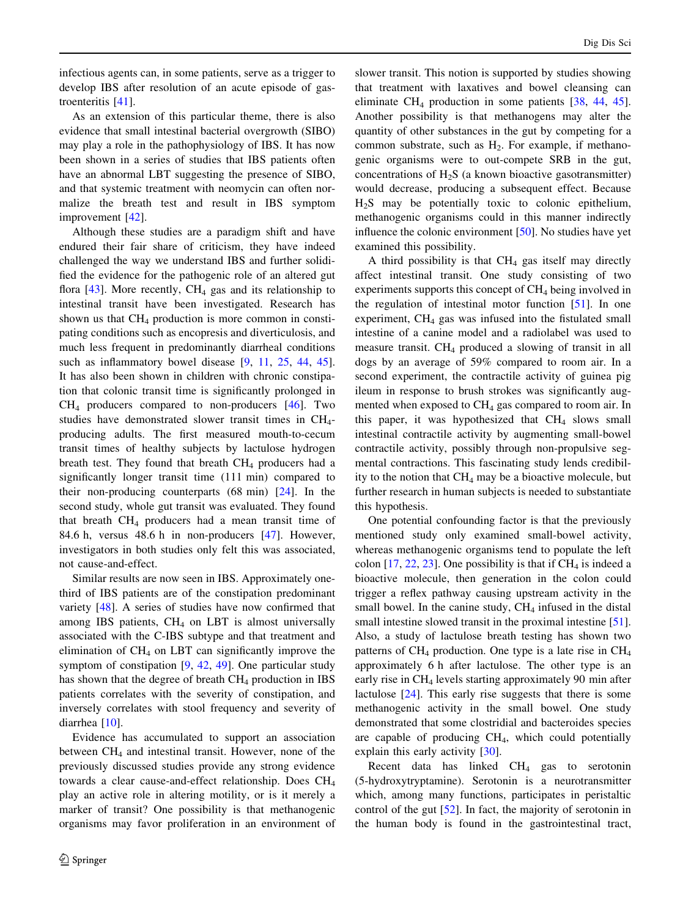infectious agents can, in some patients, serve as a trigger to develop IBS after resolution of an acute episode of gastroenteritis [\[41](#page-7-0)].

As an extension of this particular theme, there is also evidence that small intestinal bacterial overgrowth (SIBO) may play a role in the pathophysiology of IBS. It has now been shown in a series of studies that IBS patients often have an abnormal LBT suggesting the presence of SIBO, and that systemic treatment with neomycin can often normalize the breath test and result in IBS symptom improvement [\[42](#page-8-0)].

Although these studies are a paradigm shift and have endured their fair share of criticism, they have indeed challenged the way we understand IBS and further solidified the evidence for the pathogenic role of an altered gut flora  $[43]$  $[43]$ . More recently, CH<sub>4</sub> gas and its relationship to intestinal transit have been investigated. Research has shown us that  $CH<sub>4</sub>$  production is more common in constipating conditions such as encopresis and diverticulosis, and much less frequent in predominantly diarrheal conditions such as inflammatory bowel disease [[9,](#page-7-0) [11](#page-7-0), [25](#page-7-0), [44](#page-8-0), [45](#page-8-0)]. It has also been shown in children with chronic constipation that colonic transit time is significantly prolonged in  $CH<sub>4</sub>$  producers compared to non-producers  $[46]$  $[46]$ . Two studies have demonstrated slower transit times in CH4 producing adults. The first measured mouth-to-cecum transit times of healthy subjects by lactulose hydrogen breath test. They found that breath  $CH<sub>4</sub>$  producers had a significantly longer transit time (111 min) compared to their non-producing counterparts (68 min) [[24\]](#page-7-0). In the second study, whole gut transit was evaluated. They found that breath  $CH<sub>4</sub>$  producers had a mean transit time of 84.6 h, versus 48.6 h in non-producers [\[47](#page-8-0)]. However, investigators in both studies only felt this was associated, not cause-and-effect.

Similar results are now seen in IBS. Approximately onethird of IBS patients are of the constipation predominant variety [[48\]](#page-8-0). A series of studies have now confirmed that among IBS patients, CH<sub>4</sub> on LBT is almost universally associated with the C-IBS subtype and that treatment and elimination of  $CH<sub>4</sub>$  on LBT can significantly improve the symptom of constipation  $[9, 42, 49]$  $[9, 42, 49]$  $[9, 42, 49]$  $[9, 42, 49]$  $[9, 42, 49]$  $[9, 42, 49]$ . One particular study has shown that the degree of breath  $CH<sub>4</sub>$  production in IBS patients correlates with the severity of constipation, and inversely correlates with stool frequency and severity of diarrhea [[10\]](#page-7-0).

Evidence has accumulated to support an association between CH<sub>4</sub> and intestinal transit. However, none of the previously discussed studies provide any strong evidence towards a clear cause-and-effect relationship. Does CH4 play an active role in altering motility, or is it merely a marker of transit? One possibility is that methanogenic organisms may favor proliferation in an environment of slower transit. This notion is supported by studies showing that treatment with laxatives and bowel cleansing can eliminate CH<sub>4</sub> production in some patients  $[38, 44, 45]$  $[38, 44, 45]$  $[38, 44, 45]$  $[38, 44, 45]$  $[38, 44, 45]$  $[38, 44, 45]$  $[38, 44, 45]$ . Another possibility is that methanogens may alter the quantity of other substances in the gut by competing for a common substrate, such as  $H_2$ . For example, if methanogenic organisms were to out-compete SRB in the gut, concentrations of  $H_2S$  (a known bioactive gasotransmitter) would decrease, producing a subsequent effect. Because H2S may be potentially toxic to colonic epithelium, methanogenic organisms could in this manner indirectly influence the colonic environment [[50\]](#page-8-0). No studies have yet examined this possibility.

A third possibility is that  $CH<sub>4</sub>$  gas itself may directly affect intestinal transit. One study consisting of two experiments supports this concept of CH<sub>4</sub> being involved in the regulation of intestinal motor function [\[51](#page-8-0)]. In one experiment,  $CH<sub>4</sub>$  gas was infused into the fistulated small intestine of a canine model and a radiolabel was used to measure transit. CH<sub>4</sub> produced a slowing of transit in all dogs by an average of 59% compared to room air. In a second experiment, the contractile activity of guinea pig ileum in response to brush strokes was significantly augmented when exposed to  $CH<sub>4</sub>$  gas compared to room air. In this paper, it was hypothesized that  $CH<sub>4</sub>$  slows small intestinal contractile activity by augmenting small-bowel contractile activity, possibly through non-propulsive segmental contractions. This fascinating study lends credibility to the notion that  $CH_4$  may be a bioactive molecule, but further research in human subjects is needed to substantiate this hypothesis.

One potential confounding factor is that the previously mentioned study only examined small-bowel activity, whereas methanogenic organisms tend to populate the left colon  $[17, 22, 23]$  $[17, 22, 23]$  $[17, 22, 23]$  $[17, 22, 23]$  $[17, 22, 23]$  $[17, 22, 23]$ . One possibility is that if  $CH<sub>4</sub>$  is indeed a bioactive molecule, then generation in the colon could trigger a reflex pathway causing upstream activity in the small bowel. In the canine study,  $CH<sub>4</sub>$  infused in the distal small intestine slowed transit in the proximal intestine [\[51](#page-8-0)]. Also, a study of lactulose breath testing has shown two patterns of  $CH_4$  production. One type is a late rise in  $CH_4$ approximately 6 h after lactulose. The other type is an early rise in  $CH<sub>4</sub>$  levels starting approximately 90 min after lactulose [[24\]](#page-7-0). This early rise suggests that there is some methanogenic activity in the small bowel. One study demonstrated that some clostridial and bacteroides species are capable of producing  $CH<sub>4</sub>$ , which could potentially explain this early activity [[30\]](#page-7-0).

Recent data has linked  $CH<sub>4</sub>$  gas to serotonin (5-hydroxytryptamine). Serotonin is a neurotransmitter which, among many functions, participates in peristaltic control of the gut [[52\]](#page-8-0). In fact, the majority of serotonin in the human body is found in the gastrointestinal tract,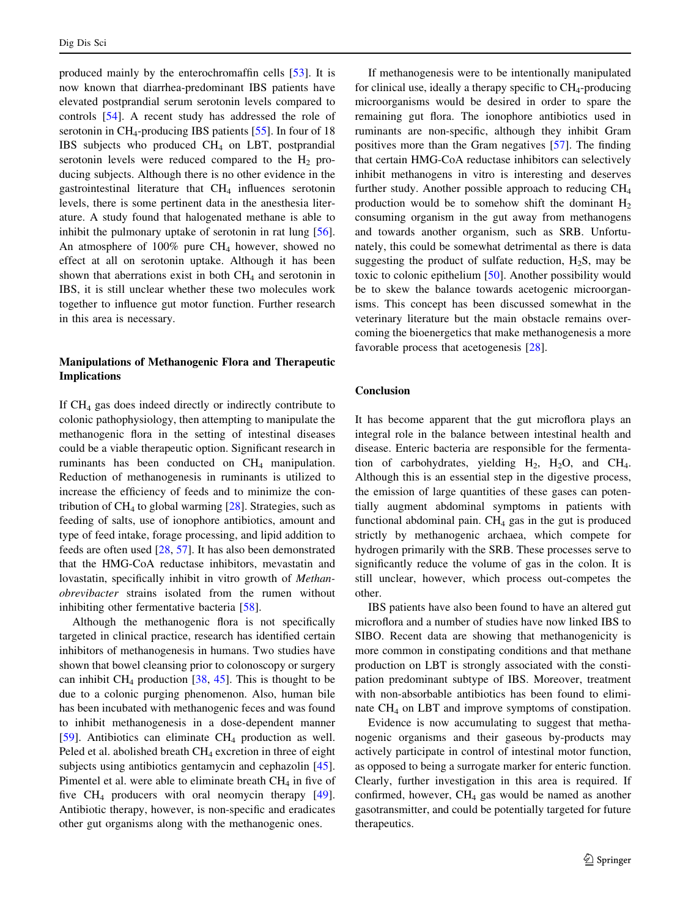produced mainly by the enterochromaffin cells [[53\]](#page-8-0). It is now known that diarrhea-predominant IBS patients have elevated postprandial serum serotonin levels compared to controls [[54\]](#page-8-0). A recent study has addressed the role of serotonin in  $CH<sub>4</sub>$ -producing IBS patients [\[55](#page-8-0)]. In four of 18 IBS subjects who produced CH4 on LBT, postprandial serotonin levels were reduced compared to the  $H_2$  producing subjects. Although there is no other evidence in the gastrointestinal literature that  $CH<sub>4</sub>$  influences serotonin levels, there is some pertinent data in the anesthesia literature. A study found that halogenated methane is able to inhibit the pulmonary uptake of serotonin in rat lung [\[56](#page-8-0)]. An atmosphere of  $100\%$  pure CH<sub>4</sub> however, showed no effect at all on serotonin uptake. Although it has been shown that aberrations exist in both  $CH<sub>4</sub>$  and serotonin in IBS, it is still unclear whether these two molecules work together to influence gut motor function. Further research in this area is necessary.

# Manipulations of Methanogenic Flora and Therapeutic Implications

If CH4 gas does indeed directly or indirectly contribute to colonic pathophysiology, then attempting to manipulate the methanogenic flora in the setting of intestinal diseases could be a viable therapeutic option. Significant research in ruminants has been conducted on  $CH<sub>4</sub>$  manipulation. Reduction of methanogenesis in ruminants is utilized to increase the efficiency of feeds and to minimize the contribution of  $CH_4$  to global warming  $[28]$  $[28]$  $[28]$ . Strategies, such as feeding of salts, use of ionophore antibiotics, amount and type of feed intake, forage processing, and lipid addition to feeds are often used  $[28, 57]$  $[28, 57]$  $[28, 57]$  $[28, 57]$ . It has also been demonstrated that the HMG-CoA reductase inhibitors, mevastatin and lovastatin, specifically inhibit in vitro growth of Methanobrevibacter strains isolated from the rumen without inhibiting other fermentative bacteria [[58\]](#page-8-0).

Although the methanogenic flora is not specifically targeted in clinical practice, research has identified certain inhibitors of methanogenesis in humans. Two studies have shown that bowel cleansing prior to colonoscopy or surgery can inhibit CH<sub>4</sub> production  $[38, 45]$  $[38, 45]$  $[38, 45]$  $[38, 45]$  $[38, 45]$ . This is thought to be due to a colonic purging phenomenon. Also, human bile has been incubated with methanogenic feces and was found to inhibit methanogenesis in a dose-dependent manner [\[59](#page-8-0)]. Antibiotics can eliminate  $CH<sub>4</sub>$  production as well. Peled et al. abolished breath  $CH_4$  excretion in three of eight subjects using antibiotics gentamycin and cephazolin [\[45](#page-8-0)]. Pimentel et al. were able to eliminate breath  $CH<sub>4</sub>$  in five of five  $CH_4$  producers with oral neomycin therapy [\[49](#page-8-0)]. Antibiotic therapy, however, is non-specific and eradicates other gut organisms along with the methanogenic ones.

If methanogenesis were to be intentionally manipulated for clinical use, ideally a therapy specific to  $CH_4$ -producing microorganisms would be desired in order to spare the remaining gut flora. The ionophore antibiotics used in ruminants are non-specific, although they inhibit Gram positives more than the Gram negatives [\[57](#page-8-0)]. The finding that certain HMG-CoA reductase inhibitors can selectively inhibit methanogens in vitro is interesting and deserves further study. Another possible approach to reducing  $CH<sub>4</sub>$ production would be to somehow shift the dominant  $H_2$ consuming organism in the gut away from methanogens and towards another organism, such as SRB. Unfortunately, this could be somewhat detrimental as there is data suggesting the product of sulfate reduction,  $H_2S$ , may be toxic to colonic epithelium [[50\]](#page-8-0). Another possibility would be to skew the balance towards acetogenic microorganisms. This concept has been discussed somewhat in the veterinary literature but the main obstacle remains overcoming the bioenergetics that make methanogenesis a more favorable process that acetogenesis [\[28](#page-7-0)].

# Conclusion

It has become apparent that the gut microflora plays an integral role in the balance between intestinal health and disease. Enteric bacteria are responsible for the fermentation of carbohydrates, yielding  $H_2$ ,  $H_2O$ , and  $CH_4$ . Although this is an essential step in the digestive process, the emission of large quantities of these gases can potentially augment abdominal symptoms in patients with functional abdominal pain.  $CH<sub>4</sub>$  gas in the gut is produced strictly by methanogenic archaea, which compete for hydrogen primarily with the SRB. These processes serve to significantly reduce the volume of gas in the colon. It is still unclear, however, which process out-competes the other.

IBS patients have also been found to have an altered gut microflora and a number of studies have now linked IBS to SIBO. Recent data are showing that methanogenicity is more common in constipating conditions and that methane production on LBT is strongly associated with the constipation predominant subtype of IBS. Moreover, treatment with non-absorbable antibiotics has been found to eliminate CH4 on LBT and improve symptoms of constipation.

Evidence is now accumulating to suggest that methanogenic organisms and their gaseous by-products may actively participate in control of intestinal motor function, as opposed to being a surrogate marker for enteric function. Clearly, further investigation in this area is required. If confirmed, however,  $CH<sub>4</sub>$  gas would be named as another gasotransmitter, and could be potentially targeted for future therapeutics.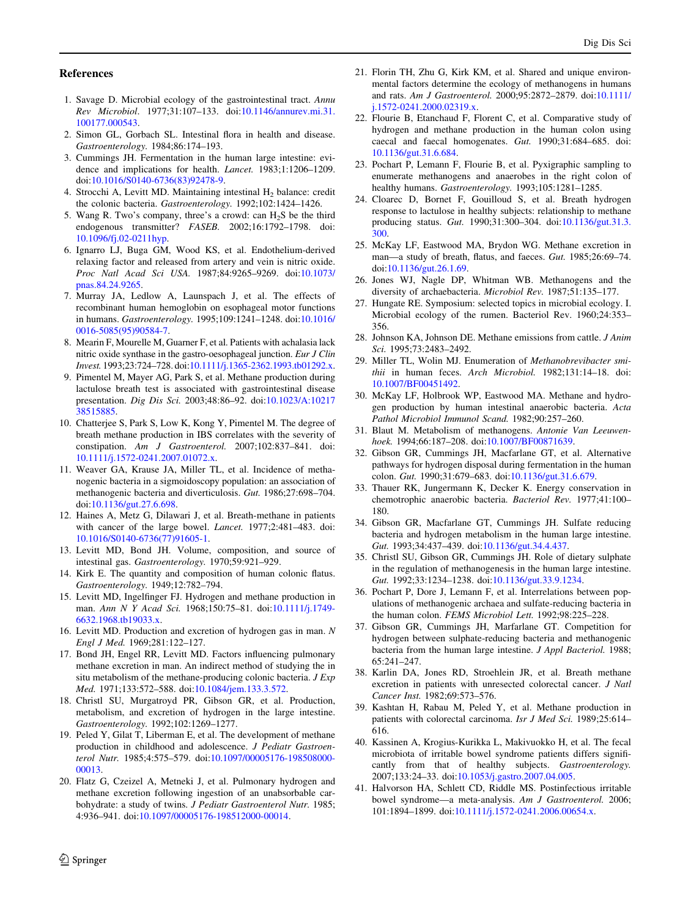#### <span id="page-7-0"></span>References

- 1. Savage D. Microbial ecology of the gastrointestinal tract. Annu Rev Microbiol. 1977;31:107–133. doi[:10.1146/annurev.mi.31.](http://dx.doi.org/10.1146/annurev.mi.31.100177.000543) [100177.000543.](http://dx.doi.org/10.1146/annurev.mi.31.100177.000543)
- 2. Simon GL, Gorbach SL. Intestinal flora in health and disease. Gastroenterology. 1984;86:174–193.
- 3. Cummings JH. Fermentation in the human large intestine: evidence and implications for health. Lancet. 1983;1:1206–1209. doi:[10.1016/S0140-6736\(83\)92478-9](http://dx.doi.org/10.1016/S0140-6736(83)92478-9).
- 4. Strocchi A, Levitt MD. Maintaining intestinal  $H<sub>2</sub>$  balance: credit the colonic bacteria. Gastroenterology. 1992;102:1424–1426.
- 5. Wang R. Two's company, three's a crowd: can  $H_2S$  be the third endogenous transmitter? FASEB. 2002;16:1792–1798. doi: [10.1096/fj.02-0211hyp.](http://dx.doi.org/10.1096/fj.02-0211hyp)
- 6. Ignarro LJ, Buga GM, Wood KS, et al. Endothelium-derived relaxing factor and released from artery and vein is nitric oxide. Proc Natl Acad Sci USA. 1987;84:9265–9269. doi[:10.1073/](http://dx.doi.org/10.1073/pnas.84.24.9265) [pnas.84.24.9265](http://dx.doi.org/10.1073/pnas.84.24.9265).
- 7. Murray JA, Ledlow A, Launspach J, et al. The effects of recombinant human hemoglobin on esophageal motor functions in humans. Gastroenterology. 1995;109:1241–1248. doi[:10.1016/](http://dx.doi.org/10.1016/0016-5085(95)90584-7) [0016-5085\(95\)90584-7.](http://dx.doi.org/10.1016/0016-5085(95)90584-7)
- 8. Mearin F, Mourelle M, Guarner F, et al. Patients with achalasia lack nitric oxide synthase in the gastro-oesophageal junction. Eur J Clin Invest. 1993;23:724–728. doi[:10.1111/j.1365-2362.1993.tb01292.x](http://dx.doi.org/10.1111/j.1365-2362.1993.tb01292.x).
- 9. Pimentel M, Mayer AG, Park S, et al. Methane production during lactulose breath test is associated with gastrointestinal disease presentation. Dig Dis Sci. 2003;48:86–92. doi:[10.1023/A:10217](http://dx.doi.org/10.1023/A:1021738515885) [38515885](http://dx.doi.org/10.1023/A:1021738515885).
- 10. Chatterjee S, Park S, Low K, Kong Y, Pimentel M. The degree of breath methane production in IBS correlates with the severity of constipation. Am J Gastroenterol. 2007;102:837–841. doi: [10.1111/j.1572-0241.2007.01072.x](http://dx.doi.org/10.1111/j.1572-0241.2007.01072.x).
- 11. Weaver GA, Krause JA, Miller TL, et al. Incidence of methanogenic bacteria in a sigmoidoscopy population: an association of methanogenic bacteria and diverticulosis. Gut. 1986;27:698–704. doi:[10.1136/gut.27.6.698](http://dx.doi.org/10.1136/gut.27.6.698).
- 12. Haines A, Metz G, Dilawari J, et al. Breath-methane in patients with cancer of the large bowel. *Lancet*. 1977;2:481-483. doi: [10.1016/S0140-6736\(77\)91605-1](http://dx.doi.org/10.1016/S0140-6736(77)91605-1).
- 13. Levitt MD, Bond JH. Volume, composition, and source of intestinal gas. Gastroenterology. 1970;59:921–929.
- 14. Kirk E. The quantity and composition of human colonic flatus. Gastroenterology. 1949;12:782–794.
- 15. Levitt MD, Ingelfinger FJ. Hydrogen and methane production in man. Ann N Y Acad Sci. 1968;150:75–81. doi:[10.1111/j.1749-](http://dx.doi.org/10.1111/j.1749-6632.1968.tb19033.x) [6632.1968.tb19033.x.](http://dx.doi.org/10.1111/j.1749-6632.1968.tb19033.x)
- 16. Levitt MD. Production and excretion of hydrogen gas in man. N Engl J Med. 1969;281:122–127.
- 17. Bond JH, Engel RR, Levitt MD. Factors influencing pulmonary methane excretion in man. An indirect method of studying the in situ metabolism of the methane-producing colonic bacteria. J Exp Med. 1971;133:572–588. doi:[10.1084/jem.133.3.572.](http://dx.doi.org/10.1084/jem.133.3.572)
- 18. Christl SU, Murgatroyd PR, Gibson GR, et al. Production, metabolism, and excretion of hydrogen in the large intestine. Gastroenterology. 1992;102:1269–1277.
- 19. Peled Y, Gilat T, Liberman E, et al. The development of methane production in childhood and adolescence. J Pediatr Gastroenterol Nutr. 1985;4:575–579. doi:[10.1097/00005176-198508000-](http://dx.doi.org/10.1097/00005176-198508000-00013) [00013.](http://dx.doi.org/10.1097/00005176-198508000-00013)
- 20. Flatz G, Czeizel A, Metneki J, et al. Pulmonary hydrogen and methane excretion following ingestion of an unabsorbable carbohydrate: a study of twins. J Pediatr Gastroenterol Nutr. 1985; 4:936–941. doi[:10.1097/00005176-198512000-00014.](http://dx.doi.org/10.1097/00005176-198512000-00014)
- 21. Florin TH, Zhu G, Kirk KM, et al. Shared and unique environmental factors determine the ecology of methanogens in humans and rats. Am J Gastroenterol. 2000;95:2872–2879. doi[:10.1111/](http://dx.doi.org/10.1111/j.1572-0241.2000.02319.x) [j.1572-0241.2000.02319.x.](http://dx.doi.org/10.1111/j.1572-0241.2000.02319.x)
- 22. Flourie B, Etanchaud F, Florent C, et al. Comparative study of hydrogen and methane production in the human colon using caecal and faecal homogenates. Gut. 1990;31:684–685. doi: [10.1136/gut.31.6.684](http://dx.doi.org/10.1136/gut.31.6.684).
- 23. Pochart P, Lemann F, Flourie B, et al. Pyxigraphic sampling to enumerate methanogens and anaerobes in the right colon of healthy humans. Gastroenterology. 1993;105:1281–1285.
- 24. Cloarec D, Bornet F, Gouilloud S, et al. Breath hydrogen response to lactulose in healthy subjects: relationship to methane producing status. Gut. 1990;31:300–304. doi[:10.1136/gut.31.3.](http://dx.doi.org/10.1136/gut.31.3.300) [300](http://dx.doi.org/10.1136/gut.31.3.300).
- 25. McKay LF, Eastwood MA, Brydon WG. Methane excretion in man—a study of breath, flatus, and faeces. Gut. 1985;26:69–74. doi:[10.1136/gut.26.1.69](http://dx.doi.org/10.1136/gut.26.1.69).
- 26. Jones WJ, Nagle DP, Whitman WB. Methanogens and the diversity of archaebacteria. Microbiol Rev. 1987;51:135–177.
- 27. Hungate RE. Symposium: selected topics in microbial ecology. I. Microbial ecology of the rumen. Bacteriol Rev. 1960;24:353– 356.
- 28. Johnson KA, Johnson DE. Methane emissions from cattle. J Anim Sci. 1995;73:2483–2492.
- 29. Miller TL, Wolin MJ. Enumeration of Methanobrevibacter smithii in human feces. Arch Microbiol. 1982;131:14–18. doi: [10.1007/BF00451492.](http://dx.doi.org/10.1007/BF00451492)
- 30. McKay LF, Holbrook WP, Eastwood MA. Methane and hydrogen production by human intestinal anaerobic bacteria. Acta Pathol Microbiol Immunol Scand. 1982;90:257–260.
- 31. Blaut M. Metabolism of methanogens. Antonie Van Leeuwenhoek. 1994;66:187–208. doi:[10.1007/BF00871639.](http://dx.doi.org/10.1007/BF00871639)
- 32. Gibson GR, Cummings JH, Macfarlane GT, et al. Alternative pathways for hydrogen disposal during fermentation in the human colon. Gut. 1990;31:679–683. doi[:10.1136/gut.31.6.679.](http://dx.doi.org/10.1136/gut.31.6.679)
- 33. Thauer RK, Jungermann K, Decker K. Energy conservation in chemotrophic anaerobic bacteria. Bacteriol Rev. 1977;41:100– 180.
- 34. Gibson GR, Macfarlane GT, Cummings JH. Sulfate reducing bacteria and hydrogen metabolism in the human large intestine. Gut. 1993;34:437–439. doi[:10.1136/gut.34.4.437.](http://dx.doi.org/10.1136/gut.34.4.437)
- 35. Christl SU, Gibson GR, Cummings JH. Role of dietary sulphate in the regulation of methanogenesis in the human large intestine. Gut. 1992;33:1234–1238. doi:[10.1136/gut.33.9.1234.](http://dx.doi.org/10.1136/gut.33.9.1234)
- 36. Pochart P, Dore J, Lemann F, et al. Interrelations between populations of methanogenic archaea and sulfate-reducing bacteria in the human colon. FEMS Microbiol Lett. 1992;98:225–228.
- 37. Gibson GR, Cummings JH, Marfarlane GT. Competition for hydrogen between sulphate-reducing bacteria and methanogenic bacteria from the human large intestine. J Appl Bacteriol. 1988; 65:241–247.
- 38. Karlin DA, Jones RD, Stroehlein JR, et al. Breath methane excretion in patients with unresected colorectal cancer. J Natl Cancer Inst. 1982;69:573–576.
- 39. Kashtan H, Rabau M, Peled Y, et al. Methane production in patients with colorectal carcinoma. Isr J Med Sci. 1989;25:614-616.
- 40. Kassinen A, Krogius-Kurikka L, Makivuokko H, et al. The fecal microbiota of irritable bowel syndrome patients differs significantly from that of healthy subjects. Gastroenterology. 2007;133:24–33. doi[:10.1053/j.gastro.2007.04.005](http://dx.doi.org/10.1053/j.gastro.2007.04.005).
- 41. Halvorson HA, Schlett CD, Riddle MS. Postinfectious irritable bowel syndrome—a meta-analysis. Am J Gastroenterol. 2006; 101:1894–1899. doi[:10.1111/j.1572-0241.2006.00654.x.](http://dx.doi.org/10.1111/j.1572-0241.2006.00654.x)